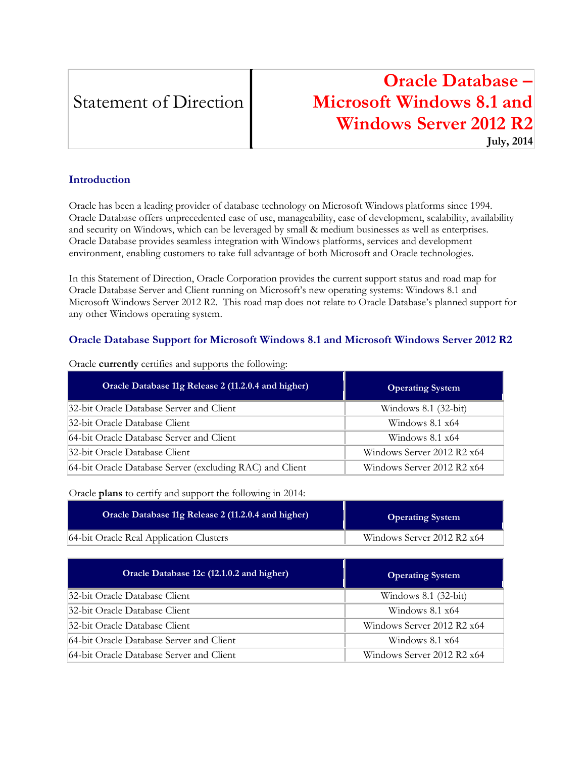# Statement of Direction

# **Oracle Database – Microsoft Windows 8.1 and Windows Server 2012 R2 July, 2014**

### **Introduction**

Oracle has been a leading provider of database technology on Microsoft Windows platforms since 1994. Oracle Database offers unprecedented ease of use, manageability, ease of development, scalability, availability and security on Windows, which can be leveraged by small & medium businesses as well as enterprises. Oracle Database provides seamless integration with Windows platforms, services and development environment, enabling customers to take full advantage of both Microsoft and Oracle technologies.

In this Statement of Direction, Oracle Corporation provides the current support status and road map for Oracle Database Server and Client running on Microsoft's new operating systems: Windows 8.1 and Microsoft Windows Server 2012 R2. This road map does not relate to Oracle Database's planned support for any other Windows operating system.

## **Oracle Database Support for Microsoft Windows 8.1 and Microsoft Windows Server 2012 R2**

| Oracle Database 11g Release 2 (11.2.0.4 and higher)      | <b>Operating System</b>    |
|----------------------------------------------------------|----------------------------|
| 32-bit Oracle Database Server and Client                 | Windows 8.1 (32-bit)       |
| 32-bit Oracle Database Client                            | Windows $8.1 \times 64$    |
| 64-bit Oracle Database Server and Client                 | Windows $8.1 \times 64$    |
| 32-bit Oracle Database Client                            | Windows Server 2012 R2 x64 |
| 64-bit Oracle Database Server (excluding RAC) and Client | Windows Server 2012 R2 x64 |

Oracle **currently** certifies and supports the following:

Oracle **plans** to certify and support the following in 2014:

| Oracle Database 11g Release 2 (11.2.0.4 and higher) | <b>Operating System</b>    |
|-----------------------------------------------------|----------------------------|
| 64-bit Oracle Real Application Clusters             | Windows Server 2012 R2 x64 |

| Oracle Database 12c (12.1.0.2 and higher) | <b>Operating System</b>    |
|-------------------------------------------|----------------------------|
| 32-bit Oracle Database Client             | Windows 8.1 (32-bit)       |
| 32-bit Oracle Database Client             | Windows $8.1 \times 64$    |
| 32-bit Oracle Database Client             | Windows Server 2012 R2 x64 |
| 64-bit Oracle Database Server and Client  | Windows $8.1 \times 64$    |
| 64-bit Oracle Database Server and Client  | Windows Server 2012 R2 x64 |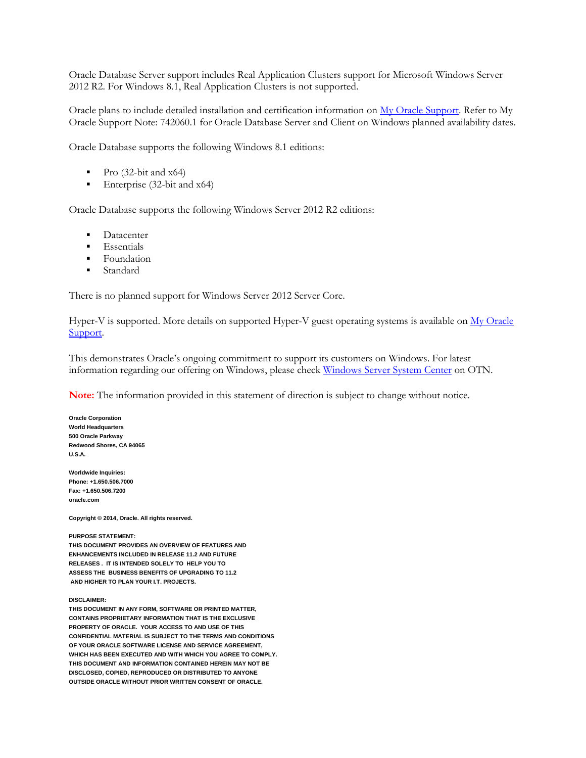Oracle Database Server support includes Real Application Clusters support for Microsoft Windows Server 2012 R2. For Windows 8.1, Real Application Clusters is not supported.

Oracle plans to include detailed installation and certification information on [My Oracle Support.](https://support.oracle.com/) Refer to My Oracle Support Note: 742060.1 for Oracle Database Server and Client on Windows planned availability dates.

Oracle Database supports the following Windows 8.1 editions:

- Pro (32-bit and x64)
- Enterprise  $(32-bit and x64)$

Oracle Database supports the following Windows Server 2012 R2 editions:

- Datacenter
- **Essentials**
- Foundation
- **Standard**

There is no planned support for Windows Server 2012 Server Core.

Hyper-V is supported. More details on supported Hyper-V guest operating systems is available on My Oracle [Support.](https://support.oracle.com/)

This demonstrates Oracle's ongoing commitment to support its customers on Windows. For latest information regarding our offering on Windows, please check [Windows Server System Center](http://www.oracle.com/technetwork/database/windows/whatsnew/index.html) on OTN.

**Note:** The information provided in this statement of direction is subject to change without notice.

**Oracle Corporation World Headquarters 500 Oracle Parkway Redwood Shores, CA 94065 U.S.A.**

**Worldwide Inquiries: Phone: +1.650.506.7000 Fax: +1.650.506.7200 oracle.com**

**Copyright © 2014, Oracle. All rights reserved.**

### **PURPOSE STATEMENT:**

**THIS DOCUMENT PROVIDES AN OVERVIEW OF FEATURES AND ENHANCEMENTS INCLUDED IN RELEASE 11.2 AND FUTURE RELEASES . IT IS INTENDED SOLELY TO HELP YOU TO ASSESS THE BUSINESS BENEFITS OF UPGRADING TO 11.2 AND HIGHER TO PLAN YOUR I.T. PROJECTS.**

#### **DISCLAIMER:**

**THIS DOCUMENT IN ANY FORM, SOFTWARE OR PRINTED MATTER, CONTAINS PROPRIETARY INFORMATION THAT IS THE EXCLUSIVE PROPERTY OF ORACLE. YOUR ACCESS TO AND USE OF THIS CONFIDENTIAL MATERIAL IS SUBJECT TO THE TERMS AND CONDITIONS OF YOUR ORACLE SOFTWARE LICENSE AND SERVICE AGREEMENT, WHICH HAS BEEN EXECUTED AND WITH WHICH YOU AGREE TO COMPLY. THIS DOCUMENT AND INFORMATION CONTAINED HEREIN MAY NOT BE DISCLOSED, COPIED, REPRODUCED OR DISTRIBUTED TO ANYONE OUTSIDE ORACLE WITHOUT PRIOR WRITTEN CONSENT OF ORACLE.**